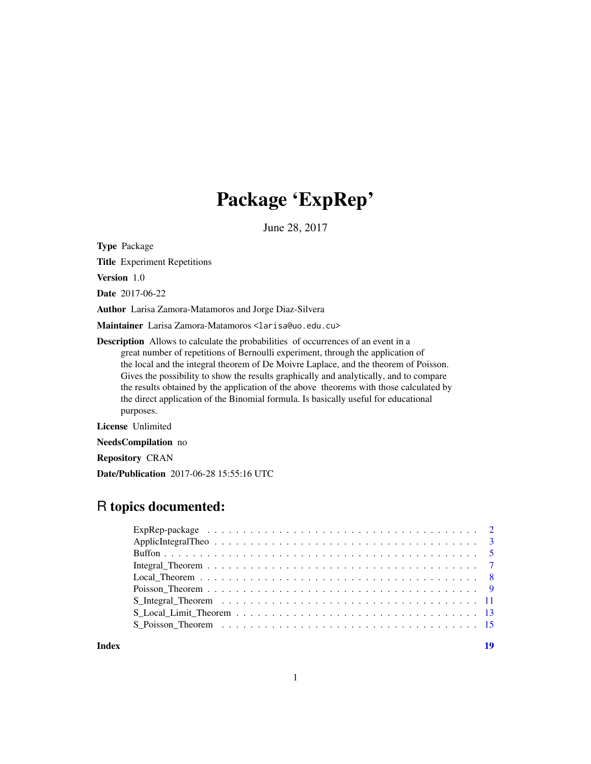## Package 'ExpRep'

June 28, 2017

Type Package

Title Experiment Repetitions

Version 1.0

Date 2017-06-22

Author Larisa Zamora-Matamoros and Jorge Diaz-Silvera

Maintainer Larisa Zamora-Matamoros <larisa@uo.edu.cu>

Description Allows to calculate the probabilities of occurrences of an event in a great number of repetitions of Bernoulli experiment, through the application of the local and the integral theorem of De Moivre Laplace, and the theorem of Poisson. Gives the possibility to show the results graphically and analytically, and to compare the results obtained by the application of the above theorems with those calculated by the direct application of the Binomial formula. Is basically useful for educational purposes.

License Unlimited

NeedsCompilation no

Repository CRAN

Date/Publication 2017-06-28 15:55:16 UTC

## R topics documented:

**Index** 2008 **[19](#page-18-0)99**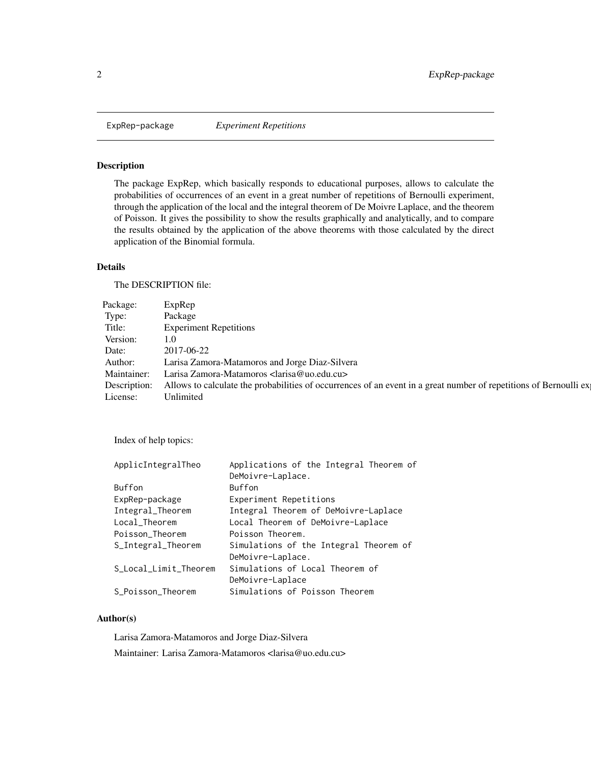<span id="page-1-0"></span>

## Description

The package ExpRep, which basically responds to educational purposes, allows to calculate the probabilities of occurrences of an event in a great number of repetitions of Bernoulli experiment, through the application of the local and the integral theorem of De Moivre Laplace, and the theorem of Poisson. It gives the possibility to show the results graphically and analytically, and to compare the results obtained by the application of the above theorems with those calculated by the direct application of the Binomial formula.

### Details

The DESCRIPTION file:

| Package: ExpRep    |                                                                                                                                 |
|--------------------|---------------------------------------------------------------------------------------------------------------------------------|
| Type:              | Package                                                                                                                         |
| Title:             | <b>Experiment Repetitions</b>                                                                                                   |
| Version: 1.0       |                                                                                                                                 |
|                    | Date: 2017-06-22                                                                                                                |
| Author:            | Larisa Zamora-Matamoros and Jorge Diaz-Silvera                                                                                  |
|                    | Maintainer: Larisa Zamora-Matamoros <larisa@uo.edu.cu></larisa@uo.edu.cu>                                                       |
|                    | Description: Allows to calculate the probabilities of occurrences of an event in a great number of repetitions of Bernoulli exp |
| License: Unlimited |                                                                                                                                 |

Index of help topics:

| Applications of the Integral Theorem of |
|-----------------------------------------|
| DeMoivre-Laplace.                       |
| Buffon                                  |
| Experiment Repetitions                  |
| Integral Theorem of DeMoivre-Laplace    |
| Local Theorem of DeMoivre-Laplace       |
| Poisson Theorem.                        |
| Simulations of the Integral Theorem of  |
| DeMoivre-Laplace.                       |
| Simulations of Local Theorem of         |
| DeMoivre-Laplace                        |
| Simulations of Poisson Theorem          |
|                                         |

#### Author(s)

Larisa Zamora-Matamoros and Jorge Diaz-Silvera Maintainer: Larisa Zamora-Matamoros <larisa@uo.edu.cu>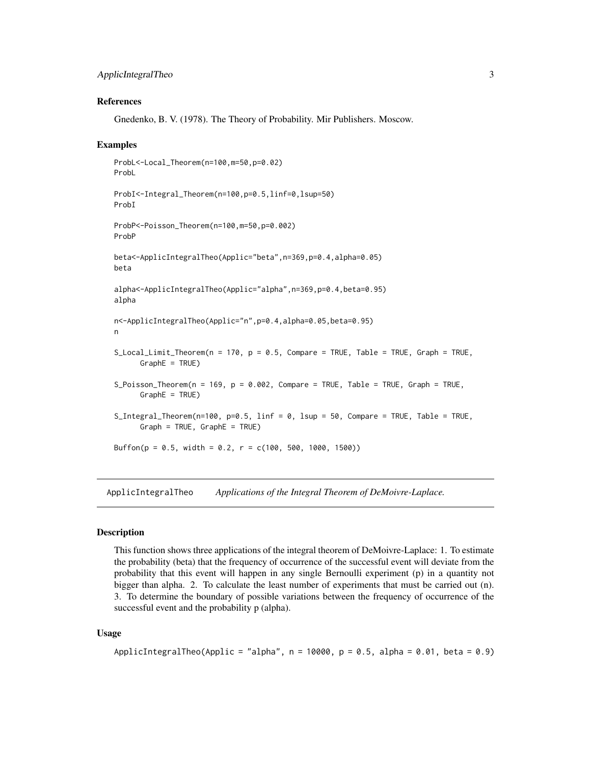## <span id="page-2-0"></span>ApplicIntegralTheo 3

#### References

Gnedenko, B. V. (1978). The Theory of Probability. Mir Publishers. Moscow.

#### Examples

```
ProbL<-Local_Theorem(n=100,m=50,p=0.02)
ProbL
ProbI<-Integral_Theorem(n=100,p=0.5,linf=0,lsup=50)
ProbI
ProbP<-Poisson_Theorem(n=100,m=50,p=0.002)
ProbP
beta<-ApplicIntegralTheo(Applic="beta",n=369,p=0.4,alpha=0.05)
beta
alpha<-ApplicIntegralTheo(Applic="alpha",n=369,p=0.4,beta=0.95)
alpha
n<-ApplicIntegralTheo(Applic="n",p=0.4,alpha=0.05,beta=0.95)
n
S_Local_Limit_Theorem(n = 170, p = 0.5, Compare = TRUE, Table = TRUE, Graph = TRUE,
     GraphE = TRUE)
S_Poisson_Theorem(n = 169, p = 0.002, Compare = TRUE, Table = TRUE, Graph = TRUE,
      GraphE = TRUE)
S_Integral_Theorem(n=100, p=0.5, linf = 0, lsup = 50, Compare = TRUE, Table = TRUE,
     Graph = TRUE, GraphE = TRUE)
Buffon(p = 0.5, width = 0.2, r = c(100, 500, 1000, 1500))
```
ApplicIntegralTheo *Applications of the Integral Theorem of DeMoivre-Laplace.*

#### **Description**

This function shows three applications of the integral theorem of DeMoivre-Laplace: 1. To estimate the probability (beta) that the frequency of occurrence of the successful event will deviate from the probability that this event will happen in any single Bernoulli experiment (p) in a quantity not bigger than alpha. 2. To calculate the least number of experiments that must be carried out (n). 3. To determine the boundary of possible variations between the frequency of occurrence of the successful event and the probability p (alpha).

#### Usage

```
ApplicIntegralTheo(Applic = "alpha", n = 10000, p = 0.5, alpha = 0.01, beta = 0.9)
```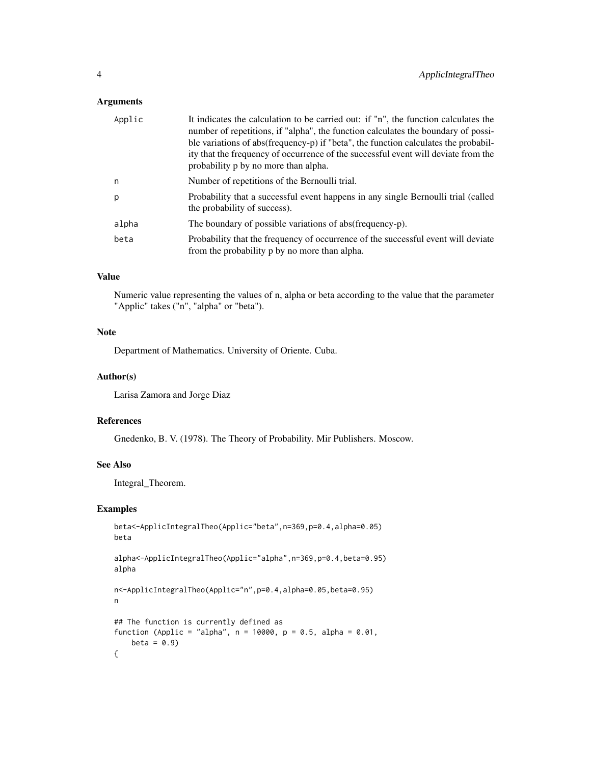## Arguments

| Applic | It indicates the calculation to be carried out: if "n", the function calculates the<br>number of repetitions, if "alpha", the function calculates the boundary of possi-<br>ble variations of abs(frequency-p) if "beta", the function calculates the probabil-<br>ity that the frequency of occurrence of the successful event will deviate from the<br>probability p by no more than alpha. |
|--------|-----------------------------------------------------------------------------------------------------------------------------------------------------------------------------------------------------------------------------------------------------------------------------------------------------------------------------------------------------------------------------------------------|
| n      | Number of repetitions of the Bernoulli trial.                                                                                                                                                                                                                                                                                                                                                 |
| p      | Probability that a successful event happens in any single Bernoulli trial (called<br>the probability of success).                                                                                                                                                                                                                                                                             |
| alpha  | The boundary of possible variations of abs (frequency-p).                                                                                                                                                                                                                                                                                                                                     |
| beta   | Probability that the frequency of occurrence of the successful event will deviate<br>from the probability p by no more than alpha.                                                                                                                                                                                                                                                            |

## Value

Numeric value representing the values of n, alpha or beta according to the value that the parameter "Applic" takes ("n", "alpha" or "beta").

## Note

Department of Mathematics. University of Oriente. Cuba.

## Author(s)

Larisa Zamora and Jorge Diaz

#### References

Gnedenko, B. V. (1978). The Theory of Probability. Mir Publishers. Moscow.

## See Also

Integral\_Theorem.

```
beta<-ApplicIntegralTheo(Applic="beta",n=369,p=0.4,alpha=0.05)
beta
alpha<-ApplicIntegralTheo(Applic="alpha",n=369,p=0.4,beta=0.95)
alpha
n<-ApplicIntegralTheo(Applic="n",p=0.4,alpha=0.05,beta=0.95)
n
## The function is currently defined as
function (Applic = "alpha", n = 10000, p = 0.5, alpha = 0.01,
   beta = 0.9{
```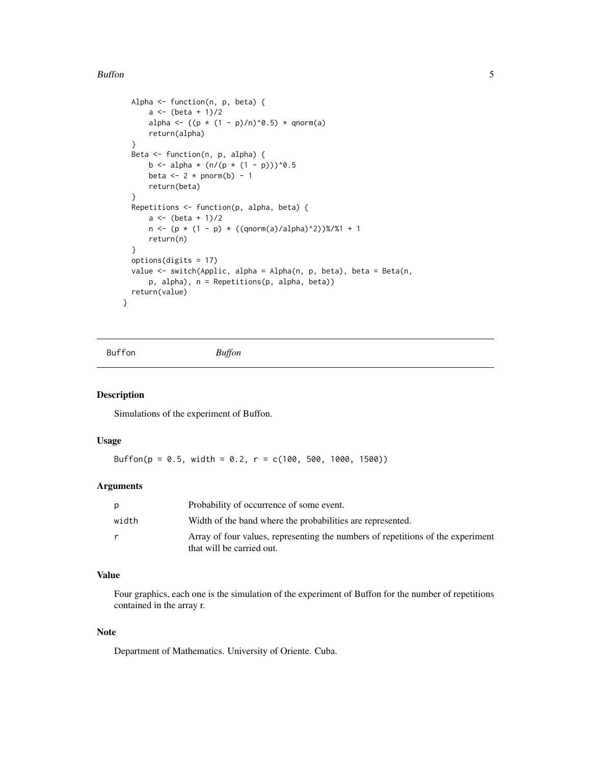#### <span id="page-4-0"></span>**Buffon** 5 5

```
Alpha <- function(n, p, beta) {
      a \leftarrow (beta + 1)/2alpha <- ((p * (1 - p)/n)^0.5) * qnorm(a)
      return(alpha)
  }
 Beta <- function(n, p, alpha) {
      b <- alpha * (n/(p * (1 - p)))^0.5
      beta \leq 2 \star pnorm(b) - 1
      return(beta)
  }
  Repetitions <- function(p, alpha, beta) {
      a \leftarrow (beta + 1)/2n \leftarrow (p * (1 - p) * ((qnorm(a)/alpha)^2))(1)%/%1 + 1
      return(n)
  }
  options(digits = 17)
  value <- switch(Applic, alpha = Alpha(n, p, beta), beta = Beta(n,
      p, alpha), n = Repetitions(p, alpha, beta))
 return(value)
}
```
Buffon *Buffon*

#### Description

Simulations of the experiment of Buffon.

#### Usage

Buffon( $p = 0.5$ , width = 0.2,  $r = c(100, 500, 1000, 1500)$ )

#### Arguments

| p     | Probability of occurrence of some event.                                                                     |
|-------|--------------------------------------------------------------------------------------------------------------|
| width | Width of the band where the probabilities are represented.                                                   |
| r     | Array of four values, representing the numbers of repetitions of the experiment<br>that will be carried out. |

### Value

Four graphics, each one is the simulation of the experiment of Buffon for the number of repetitions contained in the array r.

## Note

Department of Mathematics. University of Oriente. Cuba.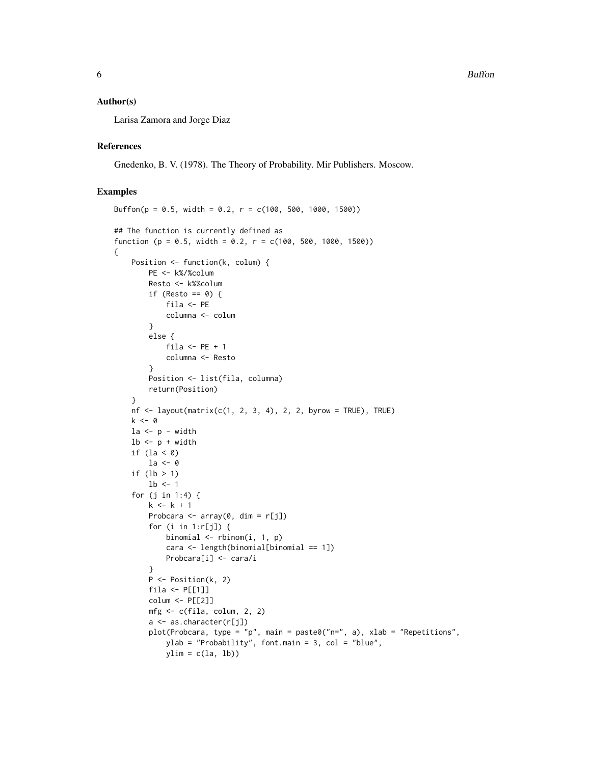#### Author(s)

Larisa Zamora and Jorge Diaz

#### References

Gnedenko, B. V. (1978). The Theory of Probability. Mir Publishers. Moscow.

## Examples

{

```
Buffon(p = 0.5, width = 0.2, r = c(100, 500, 1000, 1500))## The function is currently defined as
function (p = 0.5, width = 0.2, r = c(100, 500, 1000, 1500))
    Position <- function(k, colum) {
        PE <- k%/%colum
        Resto <- k%%colum
        if (Resto == 0) {
             fila <- PE
             columna <- colum
        }
        else {
             fila \leftarrow PE + 1
             columna <- Resto
        }
        Position <- list(fila, columna)
        return(Position)
    }
    nf \leq \text{layout}(\text{matrix}(c(1, 2, 3, 4), 2, 2, \text{byrow} = \text{TRUE}), \text{TRUE})k < - \emptyset1a \leftarrow p - width1b \leq p + widthif (la < 0)
        1a \leftarrow 0if (lb > 1)1b \leq -1for (j in 1:4) {
        k \le -k + 1Probcara <- array(0, dim = r[j])
        for (i in 1:r[j]) {
             binomial \leq rbinom(i, 1, p)
             cara <- length(binomial[binomial == 1])
             Probcara[i] <- cara/i
        }
        P <- Position(k, 2)
        fila <- P[[1]]
        colum <- P[[2]]
        mfg <- c(fila, colum, 2, 2)
        a <- as.character(r[j])
        plot(Probcara, type = "p", main = paste0("n=", a), xlab = "Repetitions",
             ylab = "Probability", font.main = 3, col = "blue",
             ylim = c(la, lb)
```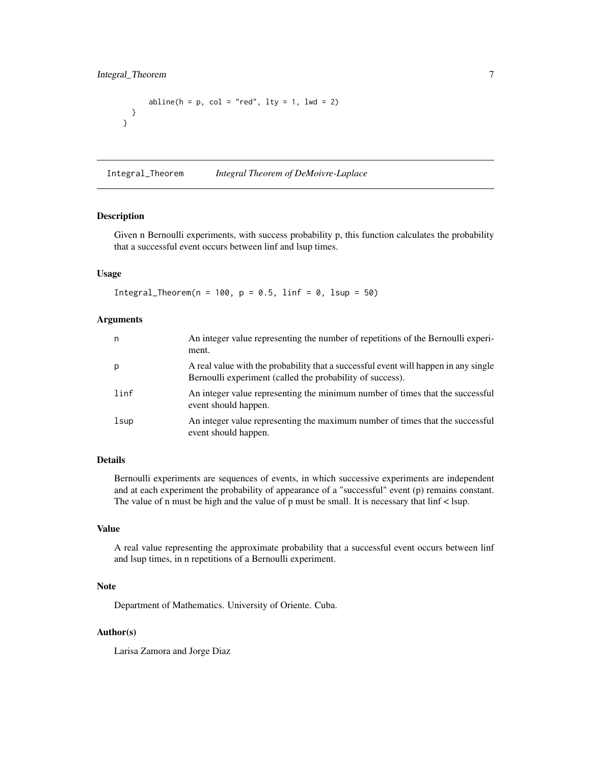```
abline(h = p, col = "red", lty = 1, lwd = 2)}
}
```
Integral\_Theorem *Integral Theorem of DeMoivre-Laplace*

#### Description

Given n Bernoulli experiments, with success probability p, this function calculates the probability that a successful event occurs between linf and lsup times.

## Usage

Integral\_Theorem(n = 100,  $p = 0.5$ , linf = 0, lsup = 50)

## Arguments

| n    | An integer value representing the number of repetitions of the Bernoulli experi-<br>ment.                                                        |
|------|--------------------------------------------------------------------------------------------------------------------------------------------------|
| p    | A real value with the probability that a successful event will happen in any single<br>Bernoulli experiment (called the probability of success). |
| linf | An integer value representing the minimum number of times that the successful<br>event should happen.                                            |
| lsup | An integer value representing the maximum number of times that the successful<br>event should happen.                                            |

#### Details

Bernoulli experiments are sequences of events, in which successive experiments are independent and at each experiment the probability of appearance of a "successful" event (p) remains constant. The value of n must be high and the value of p must be small. It is necessary that linf < lsup.

## Value

A real value representing the approximate probability that a successful event occurs between linf and lsup times, in n repetitions of a Bernoulli experiment.

## Note

Department of Mathematics. University of Oriente. Cuba.

## Author(s)

Larisa Zamora and Jorge Diaz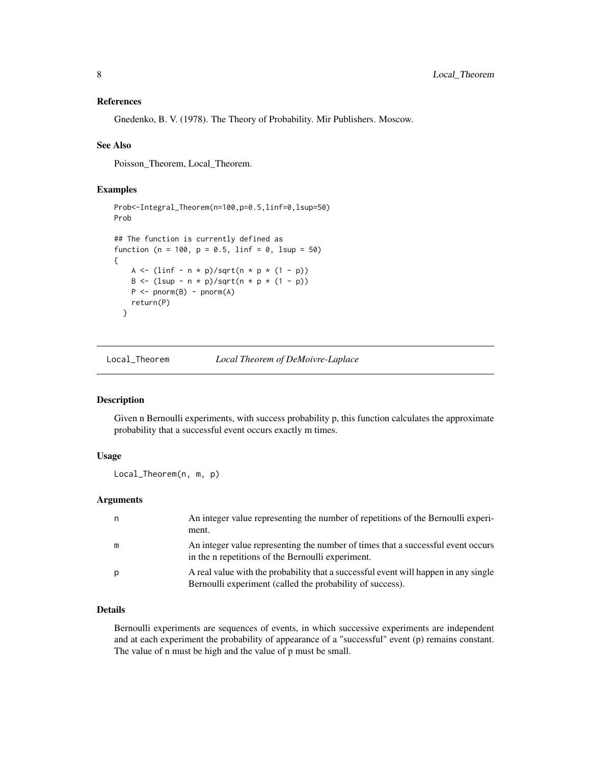#### <span id="page-7-0"></span>References

Gnedenko, B. V. (1978). The Theory of Probability. Mir Publishers. Moscow.

#### See Also

Poisson\_Theorem, Local\_Theorem.

## Examples

```
Prob<-Integral_Theorem(n=100,p=0.5,linf=0,lsup=50)
Prob
## The function is currently defined as
function (n = 100, p = 0.5, linf = 0, lsup = 50)
{
   A <- (linf - n * p)/sqrt(n * p * (1 - p))
   B <- (lsup - n * p)/sqrt(n * p * (1 - p))
   P \leftarrow pnorm(B) - pnorm(A)return(P)
 }
```
Local\_Theorem *Local Theorem of DeMoivre-Laplace*

#### Description

Given n Bernoulli experiments, with success probability p, this function calculates the approximate probability that a successful event occurs exactly m times.

## Usage

Local\_Theorem(n, m, p)

## Arguments

|   | An integer value representing the number of repetitions of the Bernoulli experi-<br>ment.                                                        |
|---|--------------------------------------------------------------------------------------------------------------------------------------------------|
| m | An integer value representing the number of times that a successful event occurs<br>in the n repetitions of the Bernoulli experiment.            |
| p | A real value with the probability that a successful event will happen in any single<br>Bernoulli experiment (called the probability of success). |

## Details

Bernoulli experiments are sequences of events, in which successive experiments are independent and at each experiment the probability of appearance of a "successful" event (p) remains constant. The value of n must be high and the value of p must be small.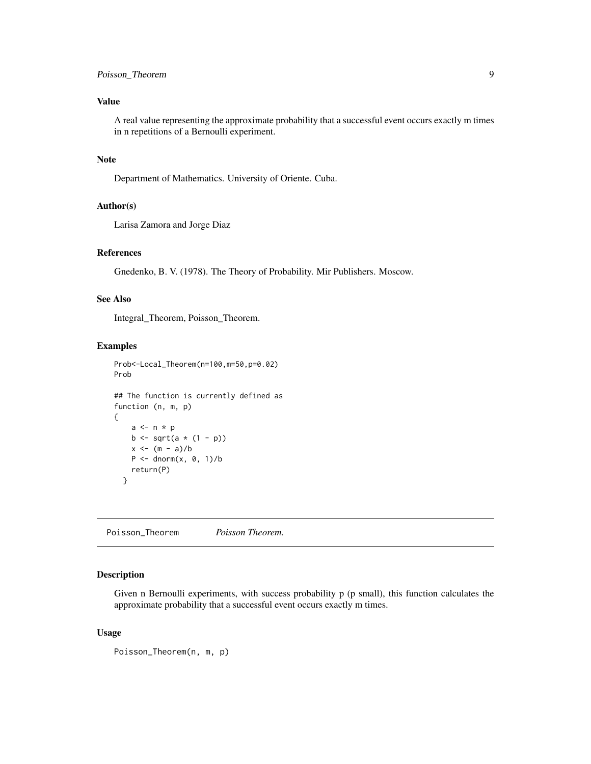## <span id="page-8-0"></span>Poisson\_Theorem 9

## Value

A real value representing the approximate probability that a successful event occurs exactly m times in n repetitions of a Bernoulli experiment.

## Note

Department of Mathematics. University of Oriente. Cuba.

## Author(s)

Larisa Zamora and Jorge Diaz

## References

Gnedenko, B. V. (1978). The Theory of Probability. Mir Publishers. Moscow.

## See Also

Integral\_Theorem, Poisson\_Theorem.

#### Examples

```
Prob<-Local_Theorem(n=100,m=50,p=0.02)
Prob
## The function is currently defined as
function (n, m, p)
{
    a \leq -n * pb \le sqrt(a * (1 - p))
    x < - (m - a)/bP \le - dnorm(x, 0, 1)/breturn(P)
  }
```
Poisson\_Theorem *Poisson Theorem.*

#### Description

Given n Bernoulli experiments, with success probability p (p small), this function calculates the approximate probability that a successful event occurs exactly m times.

#### Usage

Poisson\_Theorem(n, m, p)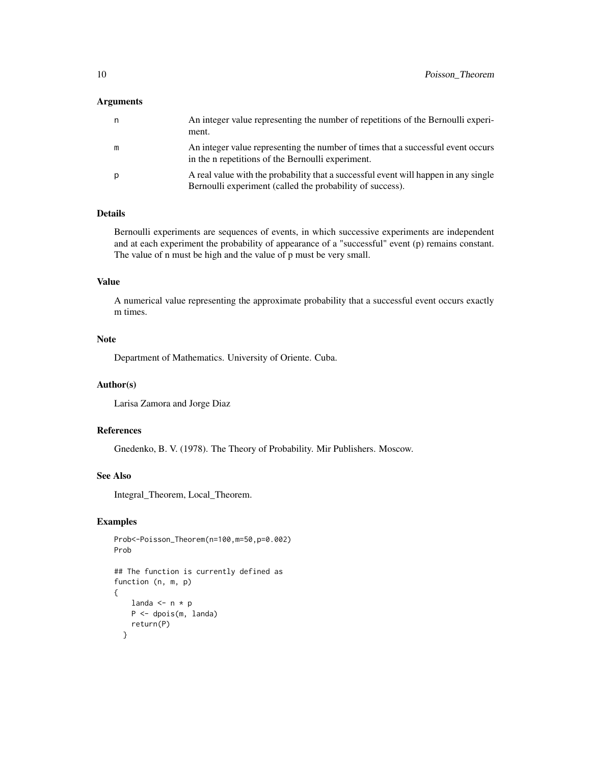#### Arguments

| n | An integer value representing the number of repetitions of the Bernoulli experi-<br>ment.                                                        |
|---|--------------------------------------------------------------------------------------------------------------------------------------------------|
| m | An integer value representing the number of times that a successful event occurs<br>in the n repetitions of the Bernoulli experiment.            |
| p | A real value with the probability that a successful event will happen in any single<br>Bernoulli experiment (called the probability of success). |

## Details

Bernoulli experiments are sequences of events, in which successive experiments are independent and at each experiment the probability of appearance of a "successful" event (p) remains constant. The value of n must be high and the value of p must be very small.

## Value

A numerical value representing the approximate probability that a successful event occurs exactly m times.

## Note

Department of Mathematics. University of Oriente. Cuba.

#### Author(s)

Larisa Zamora and Jorge Diaz

## References

Gnedenko, B. V. (1978). The Theory of Probability. Mir Publishers. Moscow.

## See Also

Integral\_Theorem, Local\_Theorem.

```
Prob<-Poisson_Theorem(n=100,m=50,p=0.002)
Prob
## The function is currently defined as
function (n, m, p)
{
   landa <- n * p
   P <- dpois(m, landa)
    return(P)
  }
```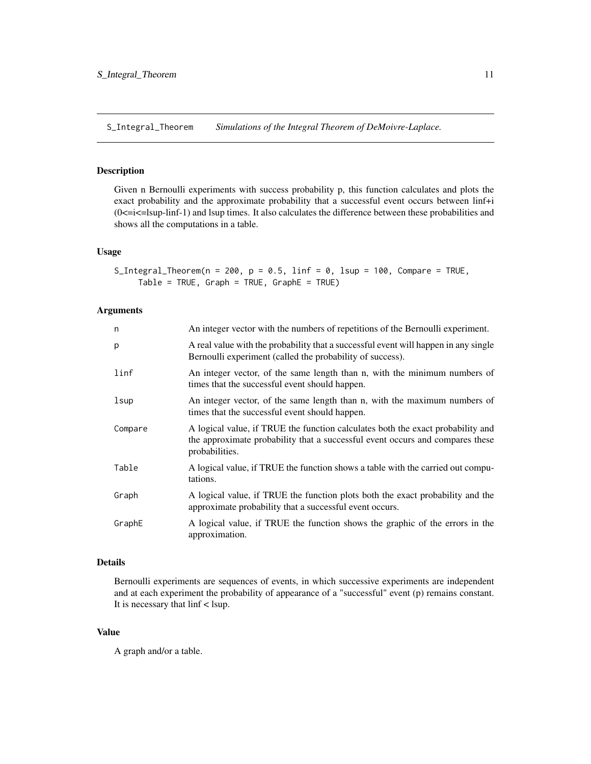<span id="page-10-0"></span>S\_Integral\_Theorem *Simulations of the Integral Theorem of DeMoivre-Laplace.*

## Description

Given n Bernoulli experiments with success probability p, this function calculates and plots the exact probability and the approximate probability that a successful event occurs between linf+i  $(0 \le i \le l$ sup-linf-1) and lsup times. It also calculates the difference between these probabilities and shows all the computations in a table.

#### Usage

```
S_Integral_Theorem(n = 200, p = 0.5, linf = 0, lsup = 100, Compare = TRUE,
    Table = TRUE, Graph = TRUE, GraphE = TRUE
```
#### Arguments

| n       | An integer vector with the numbers of repetitions of the Bernoulli experiment.                                                                                                     |
|---------|------------------------------------------------------------------------------------------------------------------------------------------------------------------------------------|
| p       | A real value with the probability that a successful event will happen in any single<br>Bernoulli experiment (called the probability of success).                                   |
| linf    | An integer vector, of the same length than n, with the minimum numbers of<br>times that the successful event should happen.                                                        |
| lsup    | An integer vector, of the same length than n, with the maximum numbers of<br>times that the successful event should happen.                                                        |
| Compare | A logical value, if TRUE the function calculates both the exact probability and<br>the approximate probability that a successful event occurs and compares these<br>probabilities. |
| Table   | A logical value, if TRUE the function shows a table with the carried out compu-<br>tations.                                                                                        |
| Graph   | A logical value, if TRUE the function plots both the exact probability and the<br>approximate probability that a successful event occurs.                                          |
| GraphE  | A logical value, if TRUE the function shows the graphic of the errors in the<br>approximation.                                                                                     |

## Details

Bernoulli experiments are sequences of events, in which successive experiments are independent and at each experiment the probability of appearance of a "successful" event (p) remains constant. It is necessary that linf < lsup.

## Value

A graph and/or a table.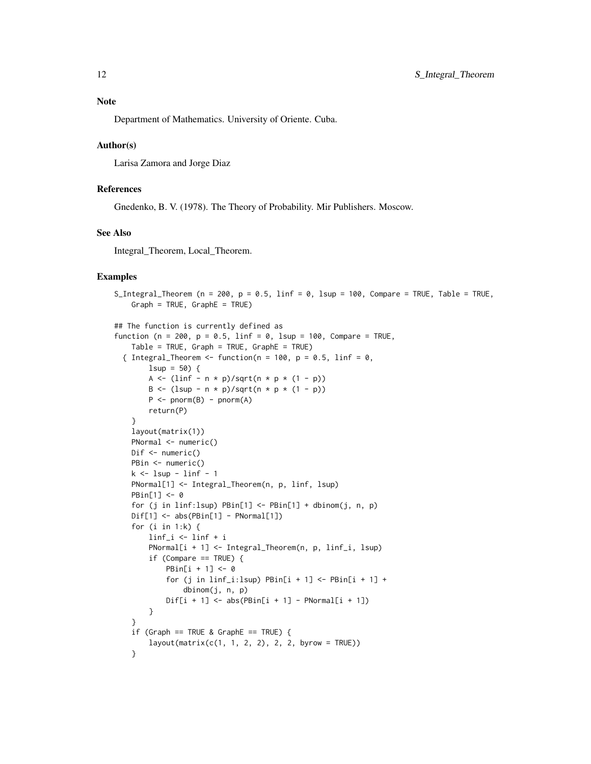## Note

Department of Mathematics. University of Oriente. Cuba.

#### Author(s)

Larisa Zamora and Jorge Diaz

### References

Gnedenko, B. V. (1978). The Theory of Probability. Mir Publishers. Moscow.

## See Also

Integral\_Theorem, Local\_Theorem.

```
S_Integral_Theorem (n = 200, p = 0.5, linf = 0, lsup = 100, Compare = TRUE, Table = TRUE,
   Graph = TRUE, GraphE = TRUE)
## The function is currently defined as
function (n = 200, p = 0.5, linf = 0, lsup = 100, Compare = TRUE,
    Table = TRUE, Graph = TRUE, GraphE = TRUE)
 { Integral_Theorem <- function(n = 100, p = 0.5, linf = 0,
       lsup = 50 {
       A <- (linf - n * p)/sqrt(n * p * (1 - p))
       B <- (lsup - n * p)/sqrt(n * p * (1 - p))
       P \le - pnorm(B) - pnorm(A)return(P)
    }
   layout(matrix(1))
   PNormal <- numeric()
   Dif <- numeric()
   PBin <- numeric()
   k \leq 1sup - linf - 1
   PNormal[1] <- Integral_Theorem(n, p, linf, lsup)
   PBin[1] <- 0
   for (j in linf:lsup) PBin[1] < -PBin[1] + dbinom(j, n, p)Dif[1] <- abs(PBin[1] - PNormal[1])
    for (i in 1:k) {
       linf_i <- linf + i
        PNormal[i + 1] <- Integral_Theorem(n, p, linf_i, lsup)
        if (Compare == TRUE) {
            PBin[i + 1] <- 0
            for (j in linf_i:lsup) PBin[i + 1] <- PBin[i + 1] +
                dbinom(j, n, p)
            Diff[i + 1] \leftarrow abs(PBin[i + 1] - PNormal[i + 1])}
    }
    if (Graph == TRUE & GraphE == TRUE) {
       layout(maxrix(c(1, 1, 2, 2), 2, 2, byrow = TRUE))}
```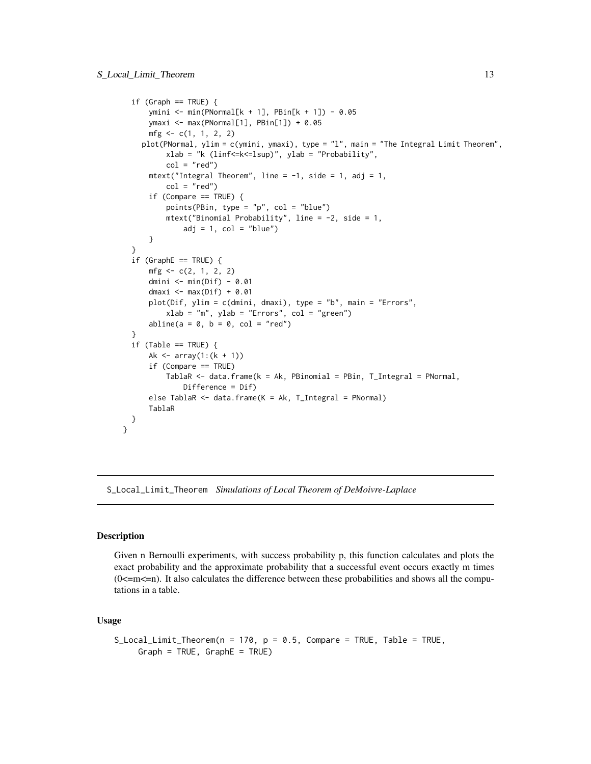```
if (Graph == TRUE) {
      ymini <- min(PNormal[k + 1], PBin[k + 1]) - 0.05
      ymaxi <- max(PNormal[1], PBin[1]) + 0.05
      mfg \leq c(1, 1, 2, 2)plot(PNormal, ylim = c(ymini, ymaxi), type = "l", main = "The Integral Limit Theorem",
          xlab = "k (linf<=k<=lsup)", ylab = "Probability",
          col = "red")mtext("Integral Theorem", line = -1, side = 1, adj = 1,
          col = "red")if (Compare == TRUE) {
          points(PBin, type = "p", col = "blue")
          mtext("Binomial Probability", line = -2, side = 1,
              adj = 1, col = "blue")}
  }
  if (GraphE == TRUE) { }mfg \leftarrow c(2, 1, 2, 2)dmini <- min(Dif) - 0.01
      dmaxi \leq max(Dif) + 0.01
      plot(Dif, ylim = c(dmini, dmaxi), type = "b", main = "Errors",
          xlab = "m", ylab = "Errors", col = "green")
      abline(a = 0, b = 0, col = "red")}
  if (Table == TRUE) {
      Ak \leq array(1:(k + 1))
      if (Compare == TRUE)
          TablaR <- data.frame(k = Ak, PBinomial = PBin, T_Integral = PNormal,
              Difference = Dif)
      else TablaR <- data.frame(K = Ak, T_Integral = PNormal)
      TablaR
 }
}
```
S\_Local\_Limit\_Theorem *Simulations of Local Theorem of DeMoivre-Laplace*

## **Description**

Given n Bernoulli experiments, with success probability p, this function calculates and plots the exact probability and the approximate probability that a successful event occurs exactly m times  $(0\le m\le n)$ . It also calculates the difference between these probabilities and shows all the computations in a table.

#### Usage

```
S_Local_Limit_Theorem(n = 170, p = 0.5, Compare = TRUE, Table = TRUE,
     Graph = TRUE, GraphE = TRUE)
```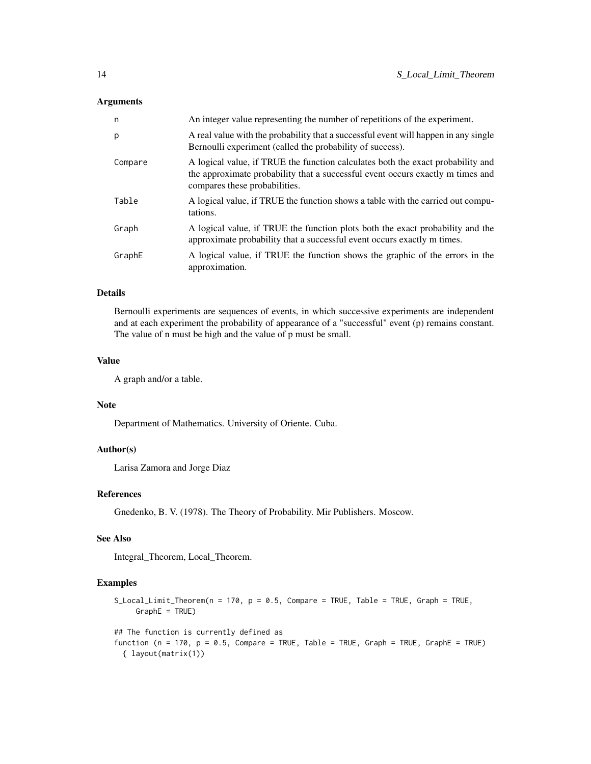#### Arguments

| n       | An integer value representing the number of repetitions of the experiment.                                                                                                                         |
|---------|----------------------------------------------------------------------------------------------------------------------------------------------------------------------------------------------------|
| p       | A real value with the probability that a successful event will happen in any single<br>Bernoulli experiment (called the probability of success).                                                   |
| Compare | A logical value, if TRUE the function calculates both the exact probability and<br>the approximate probability that a successful event occurs exactly m times and<br>compares these probabilities. |
| Table   | A logical value, if TRUE the function shows a table with the carried out compu-<br>tations.                                                                                                        |
| Graph   | A logical value, if TRUE the function plots both the exact probability and the<br>approximate probability that a successful event occurs exactly m times.                                          |
| GraphE  | A logical value, if TRUE the function shows the graphic of the errors in the<br>approximation.                                                                                                     |

## Details

Bernoulli experiments are sequences of events, in which successive experiments are independent and at each experiment the probability of appearance of a "successful" event (p) remains constant. The value of n must be high and the value of p must be small.

## Value

A graph and/or a table.

#### Note

Department of Mathematics. University of Oriente. Cuba.

#### Author(s)

Larisa Zamora and Jorge Diaz

## References

Gnedenko, B. V. (1978). The Theory of Probability. Mir Publishers. Moscow.

## See Also

Integral\_Theorem, Local\_Theorem.

```
S_Local_Limit_Theorem(n = 170, p = 0.5, Compare = TRUE, Table = TRUE, Graph = TRUE,
     GraphE = TRUE)
## The function is currently defined as
function (n = 170, p = 0.5, Compare = TRUE, Table = TRUE, Graph = TRUE, GraphE = TRUE)
  { layout(matrix(1))
```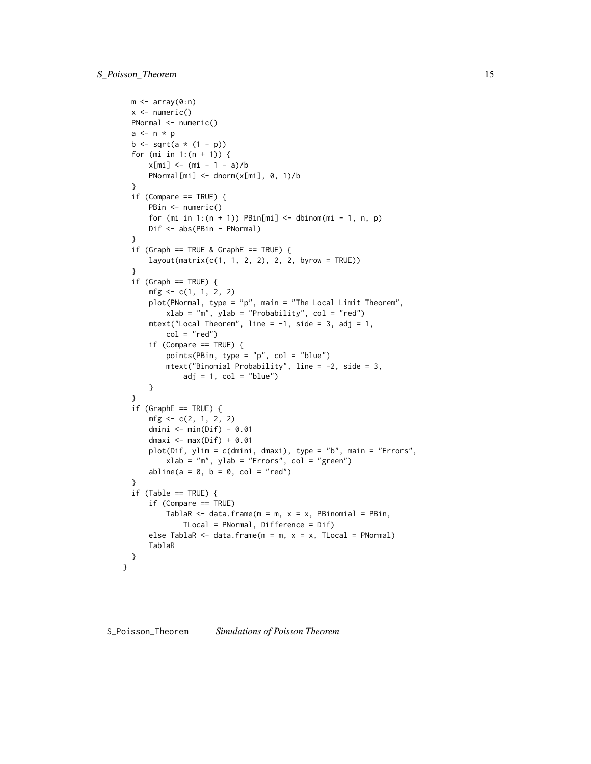```
m \leftarrow array(0:n)x \leftarrow numeric()
 PNormal <- numeric()
  a \leftarrow n * pb \le sqrt(a * (1 - p))
  for (mi in 1:(n + 1)) {
      x[\text{mi}] <- (mi - 1 - a)/b
      PNormal[mi] <- dnorm(x[mi], 0, 1)/b
  }
  if (Compare == TRUE) {
      PBin <- numeric()
      for (mi in 1:(n + 1)) PBin[mi] <- dbinom(mi - 1, n, p)
      Dif <- abs(PBin - PNormal)
  }
  if (Graph == TRUE & GraphE == TRUE) {
      layout(maxrix(c(1, 1, 2, 2), 2, 2, byrow = TRUE))}
  if (Graph == TRUE) {
      mfg \leftarrow c(1, 1, 2, 2)plot(PNormal, type = "p", main = "The Local Limit Theorem",
          xlab = "m", ylab = "Probability", col = "red")mtext("Local Theorem", line = -1, side = 3, adj = 1,
          col = "red")if (Compare == TRUE) {
          points(PBin, type = "p", col = "blue")
          mtext("Binomial Probability", line = -2, side = 3,
              adj = 1, col = "blue")}
  }
  if (GraphE == TRUE) { }mfg \leftarrow c(2, 1, 2, 2)dmini <- min(Dif) - 0.01
      dmaxi \leq max(Dif) + 0.01
      plot(Dif, ylim = c(dmini, dmaxi), type = "b", main = "Errors",
          xlab = "m", ylab = "Errors", col = "green")abline(a = 0, b = 0, col = "red")}
  if (Table == TRUE) {
      if (Compare == TRUE)
          TablaR \leq data.frame(m = m, x = x, PBinomial = PBin,
              TLocal = PNormal, Difference = Dif)
      else TablaR \le data.frame(m = m, x = x, TLocal = PNormal)
      TablaR
 }
}
```
S\_Poisson\_Theorem *Simulations of Poisson Theorem*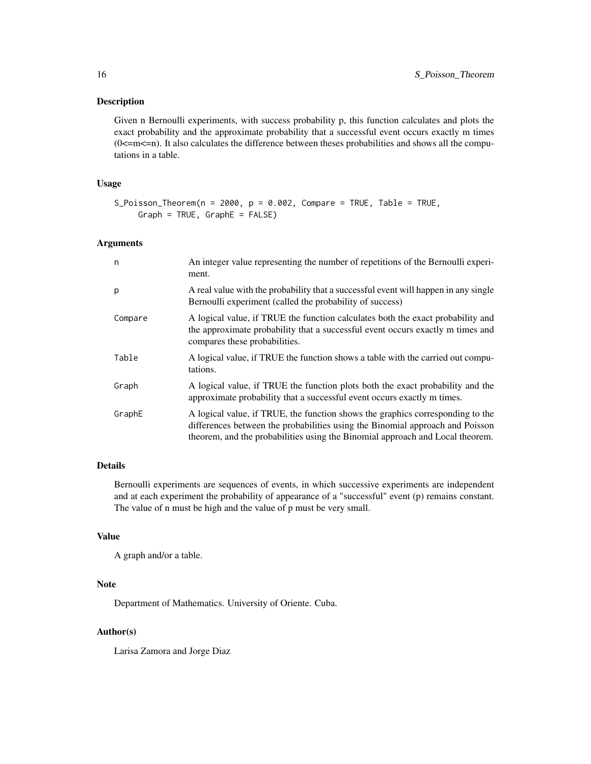## Description

Given n Bernoulli experiments, with success probability p, this function calculates and plots the exact probability and the approximate probability that a successful event occurs exactly m times  $(0 \le m \le n)$ . It also calculates the difference between theses probabilities and shows all the computations in a table.

#### Usage

```
S_Poisson_Theorem(n = 2000, p = 0.002, Compare = TRUE, Table = TRUE,
     Graph = TRUE, GraphE = FALSE)
```
#### Arguments

| n       | An integer value representing the number of repetitions of the Bernoulli experi-<br>ment.                                                                                                                                                        |
|---------|--------------------------------------------------------------------------------------------------------------------------------------------------------------------------------------------------------------------------------------------------|
| p       | A real value with the probability that a successful event will happen in any single<br>Bernoulli experiment (called the probability of success)                                                                                                  |
| Compare | A logical value, if TRUE the function calculates both the exact probability and<br>the approximate probability that a successful event occurs exactly m times and<br>compares these probabilities.                                               |
| Table   | A logical value, if TRUE the function shows a table with the carried out compu-<br>tations.                                                                                                                                                      |
| Graph   | A logical value, if TRUE the function plots both the exact probability and the<br>approximate probability that a successful event occurs exactly m times.                                                                                        |
| GraphE  | A logical value, if TRUE, the function shows the graphics corresponding to the<br>differences between the probabilities using the Binomial approach and Poisson<br>theorem, and the probabilities using the Binomial approach and Local theorem. |

#### Details

Bernoulli experiments are sequences of events, in which successive experiments are independent and at each experiment the probability of appearance of a "successful" event (p) remains constant. The value of n must be high and the value of p must be very small.

## Value

```
A graph and/or a table.
```
#### Note

Department of Mathematics. University of Oriente. Cuba.

## Author(s)

Larisa Zamora and Jorge Diaz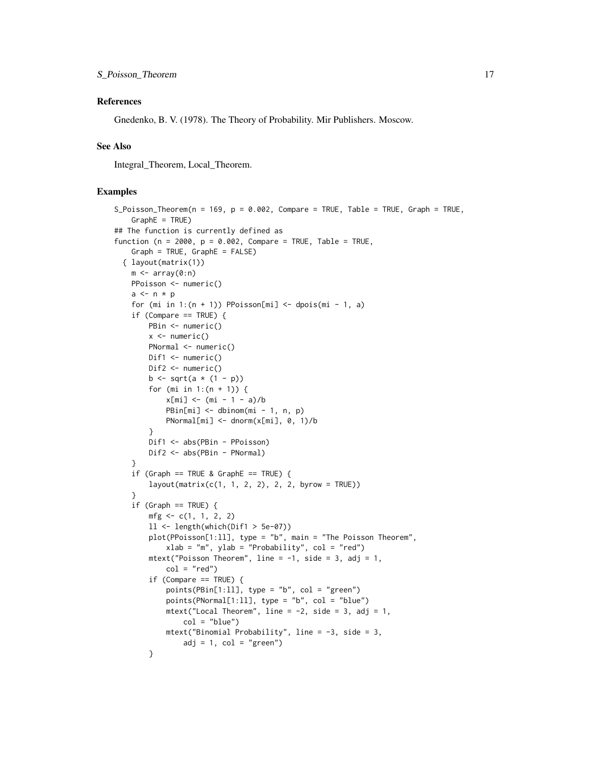#### References

Gnedenko, B. V. (1978). The Theory of Probability. Mir Publishers. Moscow.

## See Also

Integral\_Theorem, Local\_Theorem.

```
S_Poisson_Theorem(n = 169, p = 0.002, Compare = TRUE, Table = TRUE, Graph = TRUE,
    GraphE = TRUE)
## The function is currently defined as
function (n = 2000, p = 0.002, Compare = TRUE, Table = TRUE,
    Graph = TRUE, GraphE = FALSE){ layout(matrix(1))
   m \leftarrow \text{array}(0:n)PPoisson <- numeric()
   a \leq -n * pfor (mi in 1:(n + 1)) PPoisson[mi] <- dpois(mi - 1, a)
    if (Compare == TRUE) {
        PBin <- numeric()
        x \le- numeric()
        PNormal <- numeric()
        Dif1 <- numeric()
        Dif2 <- numeric()
        b <- sqrt(a * (1 - p))
        for (mi in 1:(n + 1)) {
            x[\text{mi}] <- (mi - 1 - a)/b
            PBin[mi] < - dbinom(mi - 1, n, p)
            PNormal[mi] <- dnorm(x[mi], 0, 1)/b
        }
        Dif1 <- abs(PBin - PPoisson)
        Dif2 <- abs(PBin - PNormal)
    }
    if (Graph == TRUE & GraphE == TRUE) {
        layout(maxrix(c(1, 1, 2, 2), 2, 2, byrow = TRUE))}
    if (Graph == TRUE) {
        mfg \leq -c(1, 1, 2, 2)11 \leftarrow length(which(Dif1 > 5e-07))
        plot(PPoisson[1:ll], type = "b", main = "The Poisson Theorem",
            xlab = "m", ylab = "Probability", col = "red")mtext("Poisson Theorem", line = -1, side = 3, adj = 1,
            col = "red")if (Compare == TRUE) {
            points(PBin[1:11], type = "b", col = "green")points(PNormal[1:11], type = "b", col = "blue")mtext("Local Theorem", line = -2, side = 3, adj = 1,
                col = "blue")mtext("Binomial Probability", line = -3, side = 3,
                adj = 1, col = "green")}
```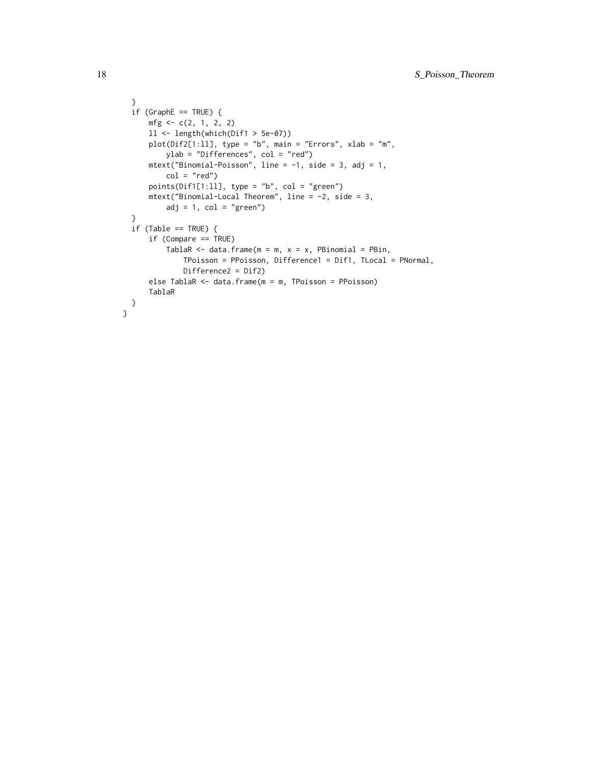```
}
  if (GraphE == TRUE) {
     mfg \leftarrow c(2, 1, 2, 2)ll <- length(which(Dif1 > 5e-07))
     plot(Dif2[1:11], type = "b", main = "Errors", xlab = "m",ylab = "Differences", col = "red")
     mtext("Binomial-Poisson", line = -1, side = 3, adj = 1,
          col = "red")points(Dif1[1:ll], type = "b", col = "green")
     mtext("Binomial-Local Theorem", line = -2, side = 3,
          adj = 1, col = "green")}
  if (Table == TRUE) {
      if (Compare == TRUE)
          TablaR \leq data.frame(m = m, x = x, PBinomial = PBin,
              TPoisson = PPoisson, Difference1 = Dif1, TLocal = PNormal,
              Difference2 = Dif2)
      else TablaR <- data.frame(m = m, TPoisson = PPoisson)
      TablaR
 }
}
```